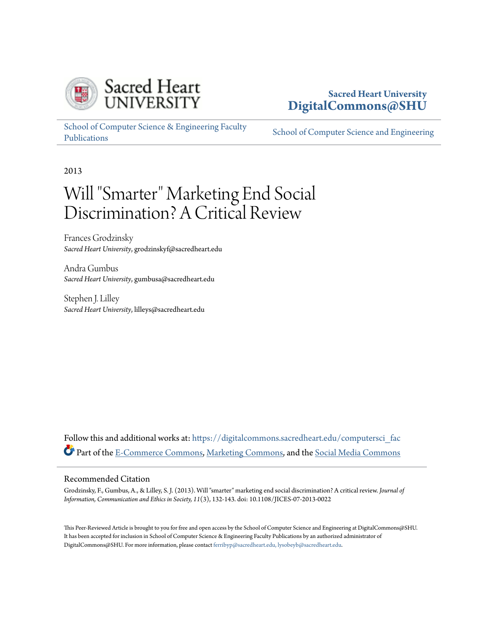

# **Sacred Heart University [DigitalCommons@SHU](https://digitalcommons.sacredheart.edu?utm_source=digitalcommons.sacredheart.edu%2Fcomputersci_fac%2F8&utm_medium=PDF&utm_campaign=PDFCoverPages)**

[School of Computer Science & Engineering Faculty](https://digitalcommons.sacredheart.edu/computersci_fac?utm_source=digitalcommons.sacredheart.edu%2Fcomputersci_fac%2F8&utm_medium=PDF&utm_campaign=PDFCoverPages) [Publications](https://digitalcommons.sacredheart.edu/computersci_fac?utm_source=digitalcommons.sacredheart.edu%2Fcomputersci_fac%2F8&utm_medium=PDF&utm_campaign=PDFCoverPages)

[School of Computer Science and Engineering](https://digitalcommons.sacredheart.edu/computersci?utm_source=digitalcommons.sacredheart.edu%2Fcomputersci_fac%2F8&utm_medium=PDF&utm_campaign=PDFCoverPages)

2013

# Will "Smarter" Marketing End Social Discrimination? A Critical Review

Frances Grodzinsky *Sacred Heart University*, grodzinskyf@sacredheart.edu

Andra Gumbus *Sacred Heart University*, gumbusa@sacredheart.edu

Stephen J. Lilley *Sacred Heart University*, lilleys@sacredheart.edu

Follow this and additional works at: [https://digitalcommons.sacredheart.edu/computersci\\_fac](https://digitalcommons.sacredheart.edu/computersci_fac?utm_source=digitalcommons.sacredheart.edu%2Fcomputersci_fac%2F8&utm_medium=PDF&utm_campaign=PDFCoverPages) Part of the [E-Commerce Commons,](http://network.bepress.com/hgg/discipline/624?utm_source=digitalcommons.sacredheart.edu%2Fcomputersci_fac%2F8&utm_medium=PDF&utm_campaign=PDFCoverPages) [Marketing Commons](http://network.bepress.com/hgg/discipline/638?utm_source=digitalcommons.sacredheart.edu%2Fcomputersci_fac%2F8&utm_medium=PDF&utm_campaign=PDFCoverPages), and the [Social Media Commons](http://network.bepress.com/hgg/discipline/1249?utm_source=digitalcommons.sacredheart.edu%2Fcomputersci_fac%2F8&utm_medium=PDF&utm_campaign=PDFCoverPages)

# Recommended Citation

Grodzinsky, F., Gumbus, A., & Lilley, S. J. (2013). Will "smarter" marketing end social discrimination? A critical review. *Journal of Information, Communication and Ethics in Society, 11*(3), 132-143. doi: 10.1108/JICES-07-2013-0022

This Peer-Reviewed Article is brought to you for free and open access by the School of Computer Science and Engineering at DigitalCommons@SHU. It has been accepted for inclusion in School of Computer Science & Engineering Faculty Publications by an authorized administrator of DigitalCommons@SHU. For more information, please contact [ferribyp@sacredheart.edu, lysobeyb@sacredheart.edu.](mailto:ferribyp@sacredheart.edu,%20lysobeyb@sacredheart.edu)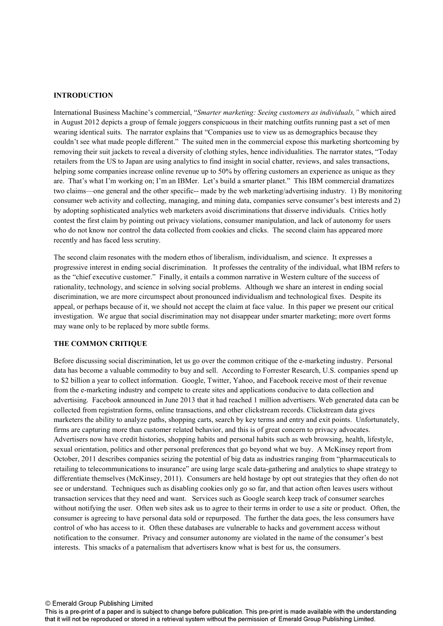# **INTRODUCTION**

International Business Machine's commercial, "*Smarter marketing: Seeing customers as individuals,"* which aired in August 2012 depicts a group of female joggers conspicuous in their matching outfits running past a set of men wearing identical suits. The narrator explains that "Companies use to view us as demographics because they couldn't see what made people different." The suited men in the commercial expose this marketing shortcoming by removing their suit jackets to reveal a diversity of clothing styles, hence individualities. The narrator states, "Today retailers from the US to Japan are using analytics to find insight in social chatter, reviews, and sales transactions, helping some companies increase online revenue up to 50% by offering customers an experience as unique as they are. That's what I'm working on; I'm an IBMer. Let's build a smarter planet." This IBM commercial dramatizes two claims—one general and the other specific-- made by the web marketing/advertising industry. 1) By monitoring consumer web activity and collecting, managing, and mining data, companies serve consumer's best interests and 2) by adopting sophisticated analytics web marketers avoid discriminations that disserve individuals. Critics hotly contest the first claim by pointing out privacy violations, consumer manipulation, and lack of autonomy for users who do not know nor control the data collected from cookies and clicks. The second claim has appeared more recently and has faced less scrutiny.

The second claim resonates with the modern ethos of liberalism, individualism, and science. It expresses a progressive interest in ending social discrimination. It professes the centrality of the individual, what IBM refers to as the "chief executive customer." Finally, it entails a common narrative in Western culture of the success of rationality, technology, and science in solving social problems. Although we share an interest in ending social discrimination, we are more circumspect about pronounced individualism and technological fixes. Despite its appeal, or perhaps because of it, we should not accept the claim at face value. In this paper we present our critical investigation. We argue that social discrimination may not disappear under smarter marketing; more overt forms may wane only to be replaced by more subtle forms.

#### **THE COMMON CRITIQUE**

Before discussing social discrimination, let us go over the common critique of the e-marketing industry. Personal data has become a valuable commodity to buy and sell. According to Forrester Research, U.S. companies spend up to \$2 billion a year to collect information. Google, Twitter, Yahoo, and Facebook receive most of their revenue from the e-marketing industry and compete to create sites and applications conducive to data collection and advertising. Facebook announced in June 2013 that it had reached 1 million advertisers. Web generated data can be collected from registration forms, online transactions, and other clickstream records. Clickstream data gives marketers the ability to analyze paths, shopping carts, search by key terms and entry and exit points. Unfortunately, firms are capturing more than customer related behavior, and this is of great concern to privacy advocates. Advertisers now have credit histories, shopping habits and personal habits such as web browsing, health, lifestyle, sexual orientation, politics and other personal preferences that go beyond what we buy. A McKinsey report from October, 2011 describes companies seizing the potential of big data as industries ranging from "pharmaceuticals to retailing to telecommunications to insurance" are using large scale data-gathering and analytics to shape strategy to differentiate themselves (McKinsey, 2011). Consumers are held hostage by opt out strategies that they often do not see or understand. Techniques such as disabling cookies only go so far, and that action often leaves users without transaction services that they need and want. Services such as Google search keep track of consumer searches without notifying the user. Often web sites ask us to agree to their terms in order to use a site or product. Often, the consumer is agreeing to have personal data sold or repurposed. The further the data goes, the less consumers have control of who has access to it. Often these databases are vulnerable to hacks and government access without notification to the consumer. Privacy and consumer autonomy are violated in the name of the consumer's best interests. This smacks of a paternalism that advertisers know what is best for us, the consumers.

© Emerald Group Publishing Limited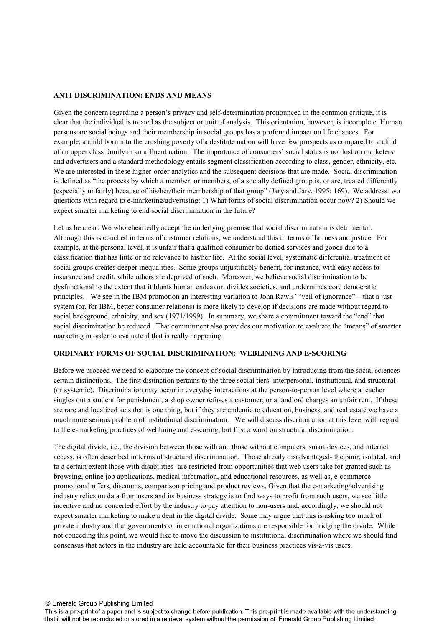# **ANTI-DISCRIMINATION: ENDS AND MEANS**

Given the concern regarding a person's privacy and self-determination pronounced in the common critique, it is clear that the individual is treated as the subject or unit of analysis. This orientation, however, is incomplete. Human persons are social beings and their membership in social groups has a profound impact on life chances. For example, a child born into the crushing poverty of a destitute nation will have few prospects as compared to a child of an upper class family in an affluent nation. The importance of consumers' social status is not lost on marketers and advertisers and a standard methodology entails segment classification according to class, gender, ethnicity, etc. We are interested in these higher-order analytics and the subsequent decisions that are made. Social discrimination is defined as "the process by which a member, or members, of a socially defined group is, or are, treated differently (especially unfairly) because of his/her/their membership of that group" (Jary and Jary, 1995: 169). We address two questions with regard to e-marketing/advertising: 1) What forms of social discrimination occur now? 2) Should we expect smarter marketing to end social discrimination in the future?

Let us be clear: We wholeheartedly accept the underlying premise that social discrimination is detrimental. Although this is couched in terms of customer relations, we understand this in terms of fairness and justice. For example, at the personal level, it is unfair that a qualified consumer be denied services and goods due to a classification that has little or no relevance to his/her life. At the social level, systematic differential treatment of social groups creates deeper inequalities. Some groups unjustifiably benefit, for instance, with easy access to insurance and credit, while others are deprived of such. Moreover, we believe social discrimination to be dysfunctional to the extent that it blunts human endeavor, divides societies, and undermines core democratic principles. We see in the IBM promotion an interesting variation to John Rawls' "veil of ignorance"—that a just system (or, for IBM, better consumer relations) is more likely to develop if decisions are made without regard to social background, ethnicity, and sex (1971/1999). In summary, we share a commitment toward the "end" that social discrimination be reduced. That commitment also provides our motivation to evaluate the "means" of smarter marketing in order to evaluate if that is really happening.

# **ORDINARY FORMS OF SOCIAL DISCRIMINATION: WEBLINING AND E-SCORING**

Before we proceed we need to elaborate the concept of social discrimination by introducing from the social sciences certain distinctions. The first distinction pertains to the three social tiers: interpersonal, institutional, and structural (or systemic). Discrimination may occur in everyday interactions at the person-to-person level where a teacher singles out a student for punishment, a shop owner refuses a customer, or a landlord charges an unfair rent. If these are rare and localized acts that is one thing, but if they are endemic to education, business, and real estate we have a much more serious problem of institutional discrimination. We will discuss discrimination at this level with regard to the e-marketing practices of weblining and e-scoring, but first a word on structural discrimination.

The digital divide, i.e., the division between those with and those without computers, smart devices, and internet access, is often described in terms of structural discrimination. Those already disadvantaged- the poor, isolated, and to a certain extent those with disabilities- are restricted from opportunities that web users take for granted such as browsing, online job applications, medical information, and educational resources, as well as, e-commerce promotional offers, discounts, comparison pricing and product reviews. Given that the e-marketing/advertising industry relies on data from users and its business strategy is to find ways to profit from such users, we see little incentive and no concerted effort by the industry to pay attention to non-users and, accordingly, we should not expect smarter marketing to make a dent in the digital divide. Some may argue that this is asking too much of private industry and that governments or international organizations are responsible for bridging the divide. While not conceding this point, we would like to move the discussion to institutional discrimination where we should find consensus that actors in the industry are held accountable for their business practices vis-à-vis users.

© Emerald Group Publishing Limited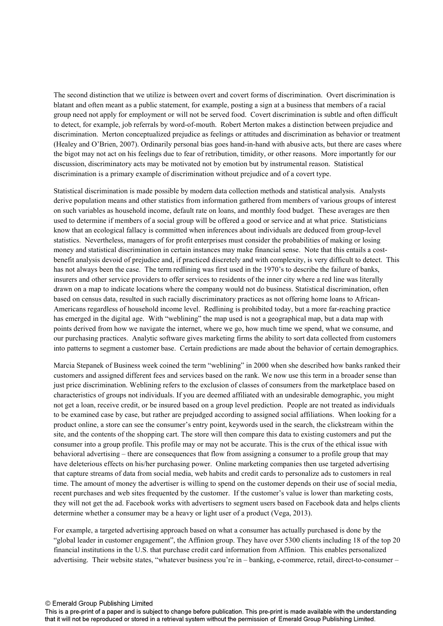The second distinction that we utilize is between overt and covert forms of discrimination. Overt discrimination is blatant and often meant as a public statement, for example, posting a sign at a business that members of a racial group need not apply for employment or will not be served food. Covert discrimination is subtle and often difficult to detect, for example, job referrals by word-of-mouth. Robert Merton makes a distinction between prejudice and discrimination. Merton conceptualized prejudice as feelings or attitudes and discrimination as behavior or treatment (Healey and O'Brien, 2007). Ordinarily personal bias goes hand-in-hand with abusive acts, but there are cases where the bigot may not act on his feelings due to fear of retribution, timidity, or other reasons. More importantly for our discussion, discriminatory acts may be motivated not by emotion but by instrumental reason. Statistical discrimination is a primary example of discrimination without prejudice and of a covert type.

Statistical discrimination is made possible by modern data collection methods and statistical analysis. Analysts derive population means and other statistics from information gathered from members of various groups of interest on such variables as household income, default rate on loans, and monthly food budget. These averages are then used to determine if members of a social group will be offered a good or service and at what price. Statisticians know that an ecological fallacy is committed when inferences about individuals are deduced from group-level statistics. Nevertheless, managers of for profit enterprises must consider the probabilities of making or losing money and statistical discrimination in certain instances may make financial sense. Note that this entails a costbenefit analysis devoid of prejudice and, if practiced discretely and with complexity, is very difficult to detect. This has not always been the case. The term redlining was first used in the 1970's to describe the failure of banks, insurers and other service providers to offer services to residents of the inner city where a red line was literally drawn on a map to indicate locations where the company would not do business. Statistical discrimination, often based on census data, resulted in such racially discriminatory practices as not offering home loans to African-Americans regardless of household income level. Redlining is prohibited today, but a more far-reaching practice has emerged in the digital age. With "weblining" the map used is not a geographical map, but a data map with points derived from how we navigate the internet, where we go, how much time we spend, what we consume, and our purchasing practices. Analytic software gives marketing firms the ability to sort data collected from customers into patterns to segment a customer base. Certain predictions are made about the behavior of certain demographics.

Marcia Stepanek of Business week coined the term "weblining" in 2000 when she described how banks ranked their customers and assigned different fees and services based on the rank. We now use this term in a broader sense than just price discrimination. Weblining refers to the exclusion of classes of consumers from the marketplace based on characteristics of groups not individuals. If you are deemed affiliated with an undesirable demographic, you might not get a loan, receive credit, or be insured based on a group level prediction. People are not treated as individuals to be examined case by case, but rather are prejudged according to assigned social affiliations. When looking for a product online, a store can see the consumer's entry point, keywords used in the search, the clickstream within the site, and the contents of the shopping cart. The store will then compare this data to existing customers and put the consumer into a group profile. This profile may or may not be accurate. This is the crux of the ethical issue with behavioral advertising – there are consequences that flow from assigning a consumer to a profile group that may have deleterious effects on his/her purchasing power. Online marketing companies then use targeted advertising that capture streams of data from social media, web habits and credit cards to personalize ads to customers in real time. The amount of money the advertiser is willing to spend on the customer depends on their use of social media, recent purchases and web sites frequented by the customer. If the customer's value is lower than marketing costs, they will not get the ad. Facebook works with advertisers to segment users based on Facebook data and helps clients determine whether a consumer may be a heavy or light user of a product (Vega, 2013).

For example, a targeted advertising approach based on what a consumer has actually purchased is done by the "global leader in customer engagement", the Affinion group. They have over 5300 clients including 18 of the top 20 financial institutions in the U.S. that purchase credit card information from Affinion. This enables personalized advertising. Their website states, "whatever business you're in – banking, e-commerce, retail, direct-to-consumer –

© Emerald Group Publishing Limited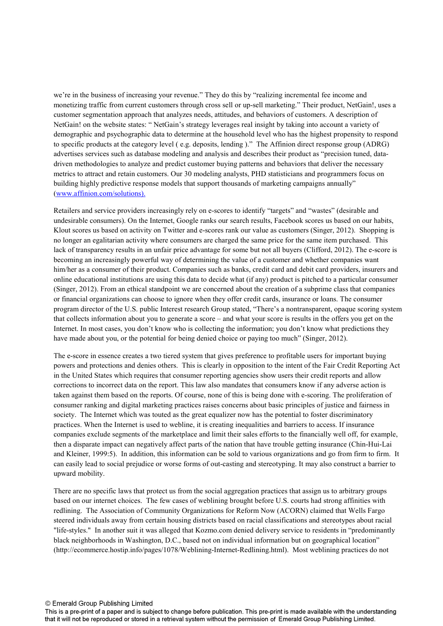we're in the business of increasing your revenue." They do this by "realizing incremental fee income and monetizing traffic from current customers through cross sell or up-sell marketing." Their product, NetGain!, uses a customer segmentation approach that analyzes needs, attitudes, and behaviors of customers. A description of NetGain! on the website states: " NetGain's strategy leverages real insight by taking into account a variety of demographic and psychographic data to determine at the household level who has the highest propensity to respond to specific products at the category level ( e.g. deposits, lending )." The Affinion direct response group (ADRG) advertises services such as database modeling and analysis and describes their product as "precision tuned, datadriven methodologies to analyze and predict customer buying patterns and behaviors that deliver the necessary metrics to attract and retain customers. Our 30 modeling analysts, PHD statisticians and programmers focus on building highly predictive response models that support thousands of marketing campaigns annually" (www.affinion.com/solutions).

Retailers and service providers increasingly rely on e-scores to identify "targets" and "wastes" (desirable and undesirable consumers). On the Internet, Google ranks our search results, Facebook scores us based on our habits, Klout scores us based on activity on Twitter and e-scores rank our value as customers (Singer, 2012). Shopping is no longer an egalitarian activity where consumers are charged the same price for the same item purchased. This lack of transparency results in an unfair price advantage for some but not all buyers (Clifford, 2012). The e-score is becoming an increasingly powerful way of determining the value of a customer and whether companies want him/her as a consumer of their product. Companies such as banks, credit card and debit card providers, insurers and online educational institutions are using this data to decide what (if any) product is pitched to a particular consumer (Singer, 2012). From an ethical standpoint we are concerned about the creation of a subprime class that companies or financial organizations can choose to ignore when they offer credit cards, insurance or loans. The consumer program director of the U.S. public Interest research Group stated, "There's a nontransparent, opaque scoring system that collects information about you to generate a score – and what your score is results in the offers you get on the Internet. In most cases, you don't know who is collecting the information; you don't know what predictions they have made about you, or the potential for being denied choice or paying too much" (Singer, 2012).

The e-score in essence creates a two tiered system that gives preference to profitable users for important buying powers and protections and denies others. This is clearly in opposition to the intent of the Fair Credit Reporting Act in the United States which requires that consumer reporting agencies show users their credit reports and allow corrections to incorrect data on the report. This law also mandates that consumers know if any adverse action is taken against them based on the reports. Of course, none of this is being done with e-scoring. The proliferation of consumer ranking and digital marketing practices raises concerns about basic principles of justice and fairness in society. The Internet which was touted as the great equalizer now has the potential to foster discriminatory practices. When the Internet is used to webline, it is creating inequalities and barriers to access. If insurance companies exclude segments of the marketplace and limit their sales efforts to the financially well off, for example, then a disparate impact can negatively affect parts of the nation that have trouble getting insurance (Chin-Hui-Lai and Kleiner, 1999:5). In addition, this information can be sold to various organizations and go from firm to firm. It can easily lead to social prejudice or worse forms of out-casting and stereotyping. It may also construct a barrier to upward mobility.

There are no specific laws that protect us from the social aggregation practices that assign us to arbitrary groups based on our internet choices. The few cases of weblining brought before U.S. courts had strong affinities with redlining. The Association of Community Organizations for Reform Now (ACORN) claimed that Wells Fargo steered individuals away from certain housing districts based on racial classifications and stereotypes about racial "life-styles." In another suit it was alleged that Kozmo.com denied delivery service to residents in "predominantly black neighborhoods in Washington, D.C., based not on individual information but on geographical location" (http://ecommerce.hostip.info/pages/1078/Weblining-Internet-Redlining.html). Most weblining practices do not

© Emerald Group Publishing Limited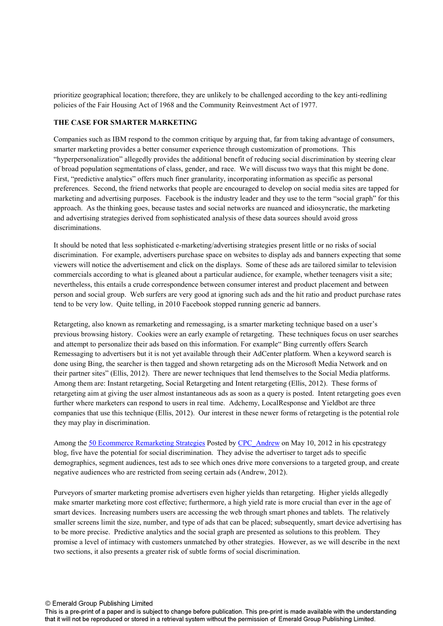prioritize geographical location; therefore, they are unlikely to be challenged according to the key anti-redlining policies of the Fair Housing Act of 1968 and the Community Reinvestment Act of 1977.

#### **THE CASE FOR SMARTER MARKETING**

Companies such as IBM respond to the common critique by arguing that, far from taking advantage of consumers, smarter marketing provides a better consumer experience through customization of promotions. This "hyperpersonalization" allegedly provides the additional benefit of reducing social discrimination by steering clear of broad population segmentations of class, gender, and race. We will discuss two ways that this might be done. First, "predictive analytics" offers much finer granularity, incorporating information as specific as personal preferences. Second, the friend networks that people are encouraged to develop on social media sites are tapped for marketing and advertising purposes. Facebook is the industry leader and they use to the term "social graph" for this approach. As the thinking goes, because tastes and social networks are nuanced and idiosyncratic, the marketing and advertising strategies derived from sophisticated analysis of these data sources should avoid gross discriminations.

It should be noted that less sophisticated e-marketing/advertising strategies present little or no risks of social discrimination. For example, advertisers purchase space on websites to display ads and banners expecting that some viewers will notice the advertisement and click on the displays. Some of these ads are tailored similar to television commercials according to what is gleaned about a particular audience, for example, whether teenagers visit a site; nevertheless, this entails a crude correspondence between consumer interest and product placement and between person and social group. Web surfers are very good at ignoring such ads and the hit ratio and product purchase rates tend to be very low. Quite telling, in 2010 Facebook stopped running generic ad banners.

Retargeting, also known as remarketing and remessaging, is a smarter marketing technique based on a user's previous browsing history. Cookies were an early example of retargeting. These techniques focus on user searches and attempt to personalize their ads based on this information. For example" Bing currently offers Search Remessaging to advertisers but it is not yet available through their AdCenter platform. When a keyword search is done using Bing, the searcher is then tagged and shown retargeting ads on the Microsoft Media Network and on their partner sites" (Ellis, 2012). There are newer techniques that lend themselves to the Social Media platforms. Among them are: Instant retargeting, Social Retargeting and Intent retargeting (Ellis, 2012). These forms of retargeting aim at giving the user almost instantaneous ads as soon as a query is posted. Intent retargeting goes even further where marketers can respond to users in real time. Adchemy, LocalResponse and Yieldbot are three companies that use this technique (Ellis, 2012). Our interest in these newer forms of retargeting is the potential role they may play in discrimination.

Among the 50 Ecommerce Remarketing Strategies Posted by CPC Andrew on May 10, 2012 in his cpcstrategy blog, five have the potential for social discrimination. They advise the advertiser to target ads to specific demographics, segment audiences, test ads to see which ones drive more conversions to a targeted group, and create negative audiences who are restricted from seeing certain ads (Andrew, 2012).

Purveyors of smarter marketing promise advertisers even higher yields than retargeting. Higher yields allegedly make smarter marketing more cost effective; furthermore, a high yield rate is more crucial than ever in the age of smart devices. Increasing numbers users are accessing the web through smart phones and tablets. The relatively smaller screens limit the size, number, and type of ads that can be placed; subsequently, smart device advertising has to be more precise. Predictive analytics and the social graph are presented as solutions to this problem. They promise a level of intimacy with customers unmatched by other strategies. However, as we will describe in the next two sections, it also presents a greater risk of subtle forms of social discrimination.

© Emerald Group Publishing Limited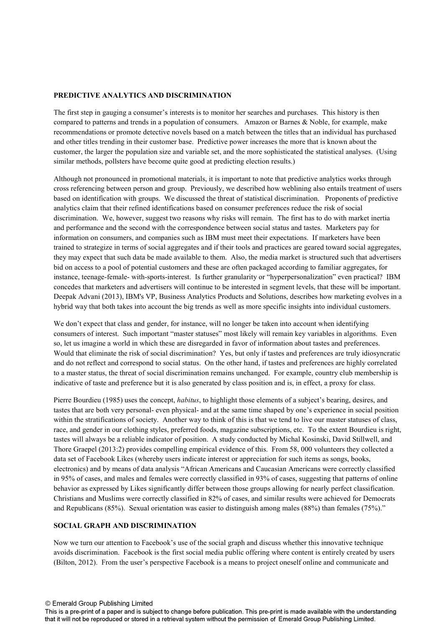# **PREDICTIVE ANALYTICS AND DISCRIMINATION**

The first step in gauging a consumer's interests is to monitor her searches and purchases. This history is then compared to patterns and trends in a population of consumers. Amazon or Barnes & Noble, for example, make recommendations or promote detective novels based on a match between the titles that an individual has purchased and other titles trending in their customer base. Predictive power increases the more that is known about the customer, the larger the population size and variable set, and the more sophisticated the statistical analyses. (Using similar methods, pollsters have become quite good at predicting election results.)

Although not pronounced in promotional materials, it is important to note that predictive analytics works through cross referencing between person and group. Previously, we described how weblining also entails treatment of users based on identification with groups. We discussed the threat of statistical discrimination. Proponents of predictive analytics claim that their refined identifications based on consumer preferences reduce the risk of social discrimination. We, however, suggest two reasons why risks will remain. The first has to do with market inertia and performance and the second with the correspondence between social status and tastes. Marketers pay for information on consumers, and companies such as IBM must meet their expectations. If marketers have been trained to strategize in terms of social aggregates and if their tools and practices are geared toward social aggregates, they may expect that such data be made available to them. Also, the media market is structured such that advertisers bid on access to a pool of potential customers and these are often packaged according to familiar aggregates, for instance, teenage-female- with-sports-interest. Is further granularity or "hyperpersonalization" even practical? IBM concedes that marketers and advertisers will continue to be interested in segment levels, that these will be important. Deepak Advani (2013), IBM's VP, Business Analytics Products and Solutions, describes how marketing evolves in a hybrid way that both takes into account the big trends as well as more specific insights into individual customers.

We don't expect that class and gender, for instance, will no longer be taken into account when identifying consumers of interest. Such important "master statuses" most likely will remain key variables in algorithms. Even so, let us imagine a world in which these are disregarded in favor of information about tastes and preferences. Would that eliminate the risk of social discrimination? Yes, but only if tastes and preferences are truly idiosyncratic and do not reflect and correspond to social status. On the other hand, if tastes and preferences are highly correlated to a master status, the threat of social discrimination remains unchanged. For example, country club membership is indicative of taste and preference but it is also generated by class position and is, in effect, a proxy for class.

Pierre Bourdieu (1985) uses the concept, *habitus*, to highlight those elements of a subject's bearing, desires, and tastes that are both very personal- even physical- and at the same time shaped by one's experience in social position within the stratifications of society. Another way to think of this is that we tend to live our master statuses of class, race, and gender in our clothing styles, preferred foods, magazine subscriptions, etc. To the extent Bourdieu is right, tastes will always be a reliable indicator of position. A study conducted by Michal Kosinski, David Stillwell, and Thore Graepel (2013:2) provides compelling empirical evidence of this. From 58, 000 volunteers they collected a data set of Facebook Likes (whereby users indicate interest or appreciation for such items as songs, books, electronics) and by means of data analysis "African Americans and Caucasian Americans were correctly classified in 95% of cases, and males and females were correctly classified in 93% of cases, suggesting that patterns of online behavior as expressed by Likes significantly differ between those groups allowing for nearly perfect classification. Christians and Muslims were correctly classified in 82% of cases, and similar results were achieved for Democrats and Republicans (85%). Sexual orientation was easier to distinguish among males (88%) than females (75%)."

#### **SOCIAL GRAPH AND DISCRIMINATION**

Now we turn our attention to Facebook's use of the social graph and discuss whether this innovative technique avoids discrimination. Facebook is the first social media public offering where content is entirely created by users (Bilton, 2012). From the user's perspective Facebook is a means to project oneself online and communicate and

© Emerald Group Publishing Limited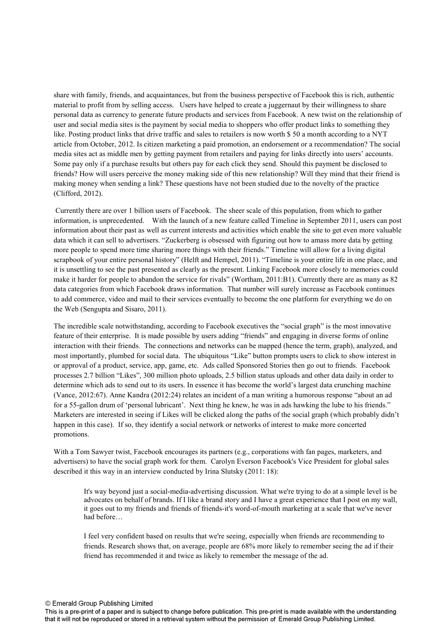share with family, friends, and acquaintances, but from the business perspective of Facebook this is rich, authentic material to profit from by selling access. Users have helped to create a juggernaut by their willingness to share personal data as currency to generate future products and services from Facebook. A new twist on the relationship of user and social media sites is the payment by social media to shoppers who offer product links to something they like. Posting product links that drive traffic and sales to retailers is now worth \$ 50 a month according to a NYT article from October, 2012. Is citizen marketing a paid promotion, an endorsement or a recommendation? The social media sites act as middle men by getting payment from retailers and paying for links directly into users' accounts. Some pay only if a purchase results but others pay for each click they send. Should this payment be disclosed to friends? How will users perceive the money making side of this new relationship? Will they mind that their friend is making money when sending a link? These questions have not been studied due to the novelty of the practice (Clifford, 2012).

 Currently there are over 1 billion users of Facebook. The sheer scale of this population, from which to gather information, is unprecedented. With the launch of a new feature called Timeline in September 2011, users can post information about their past as well as current interests and activities which enable the site to get even more valuable data which it can sell to advertisers. "Zuckerberg is obsessed with figuring out how to amass more data by getting more people to spend more time sharing more things with their friends." Timeline will allow for a living digital scrapbook of your entire personal history" (Helft and Hempel, 2011). "Timeline is your entire life in one place, and it is unsettling to see the past presented as clearly as the present. Linking Facebook more closely to memories could make it harder for people to abandon the service for rivals" (Wortham, 2011:B1). Currently there are as many as 82 data categories from which Facebook draws information. That number will surely increase as Facebook continues to add commerce, video and mail to their services eventually to become the one platform for everything we do on the Web (Sengupta and Sisaro, 2011).

The incredible scale notwithstanding, according to Facebook executives the "social graph" is the most innovative feature of their enterprise. It is made possible by users adding "friends" and engaging in diverse forms of online interaction with their friends. The connections and networks can be mapped (hence the term, graph), analyzed, and most importantly, plumbed for social data. The ubiquitous "Like" button prompts users to click to show interest in or approval of a product, service, app, game, etc. Ads called Sponsored Stories then go out to friends. Facebook processes 2.7 billion "Likes", 300 million photo uploads, 2.5 billion status uploads and other data daily in order to determine which ads to send out to its users. In essence it has become the world's largest data crunching machine (Vance, 2012:67). Anne Kandra (2012:24) relates an incident of a man writing a humorous response "about an ad for a 55-gallon drum of 'personal lubricant'. Next thing he knew, he was in ads hawking the lube to his friends." Marketers are interested in seeing if Likes will be clicked along the paths of the social graph (which probably didn't happen in this case). If so, they identify a social network or networks of interest to make more concerted promotions.

With a Tom Sawyer twist, Facebook encourages its partners (e.g., corporations with fan pages, marketers, and advertisers) to have the social graph work for them. Carolyn Everson Facebook's Vice President for global sales described it this way in an interview conducted by Irina Slutsky (2011: 18):

It's way beyond just a social-media-advertising discussion. What we're trying to do at a simple level is be advocates on behalf of brands. If I like a brand story and I have a great experience that I post on my wall, it goes out to my friends and friends of friends-it's word-of-mouth marketing at a scale that we've never had before…

I feel very confident based on results that we're seeing, especially when friends are recommending to friends. Research shows that, on average, people are 68% more likely to remember seeing the ad if their friend has recommended it and twice as likely to remember the message of the ad.

© Emerald Group Publishing Limited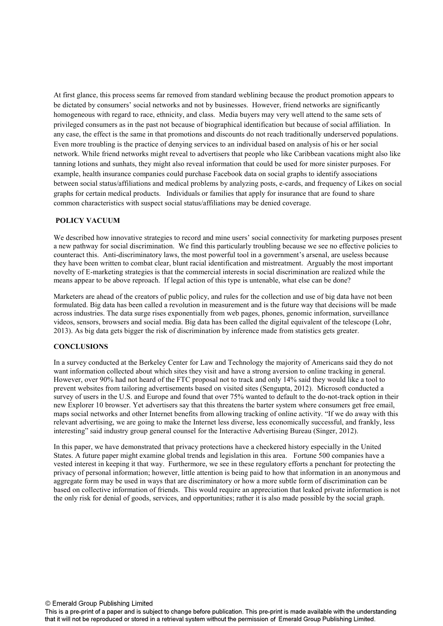At first glance, this process seems far removed from standard weblining because the product promotion appears to be dictated by consumers' social networks and not by businesses. However, friend networks are significantly homogeneous with regard to race, ethnicity, and class. Media buyers may very well attend to the same sets of privileged consumers as in the past not because of biographical identification but because of social affiliation. In any case, the effect is the same in that promotions and discounts do not reach traditionally underserved populations. Even more troubling is the practice of denying services to an individual based on analysis of his or her social network. While friend networks might reveal to advertisers that people who like Caribbean vacations might also like tanning lotions and sunhats, they might also reveal information that could be used for more sinister purposes. For example, health insurance companies could purchase Facebook data on social graphs to identify associations between social status/affiliations and medical problems by analyzing posts, e-cards, and frequency of Likes on social graphs for certain medical products. Individuals or families that apply for insurance that are found to share common characteristics with suspect social status/affiliations may be denied coverage.

#### **POLICY VACUUM**

We described how innovative strategies to record and mine users' social connectivity for marketing purposes present a new pathway for social discrimination. We find this particularly troubling because we see no effective policies to counteract this. Anti-discriminatory laws, the most powerful tool in a government's arsenal, are useless because they have been written to combat clear, blunt racial identification and mistreatment. Arguably the most important novelty of E-marketing strategies is that the commercial interests in social discrimination are realized while the means appear to be above reproach. If legal action of this type is untenable, what else can be done?

Marketers are ahead of the creators of public policy, and rules for the collection and use of big data have not been formulated. Big data has been called a revolution in measurement and is the future way that decisions will be made across industries. The data surge rises exponentially from web pages, phones, genomic information, surveillance videos, sensors, browsers and social media. Big data has been called the digital equivalent of the telescope (Lohr, 2013). As big data gets bigger the risk of discrimination by inference made from statistics gets greater.

#### **CONCLUSIONS**

In a survey conducted at the Berkeley Center for Law and Technology the majority of Americans said they do not want information collected about which sites they visit and have a strong aversion to online tracking in general. However, over 90% had not heard of the FTC proposal not to track and only 14% said they would like a tool to prevent websites from tailoring advertisements based on visited sites (Sengupta, 2012). Microsoft conducted a survey of users in the U.S. and Europe and found that over 75% wanted to default to the do-not-track option in their new Explorer 10 browser. Yet advertisers say that this threatens the barter system where consumers get free email, maps social networks and other Internet benefits from allowing tracking of online activity. "If we do away with this relevant advertising, we are going to make the Internet less diverse, less economically successful, and frankly, less interesting" said industry group general counsel for the Interactive Advertising Bureau (Singer, 2012).

In this paper, we have demonstrated that privacy protections have a checkered history especially in the United States. A future paper might examine global trends and legislation in this area. Fortune 500 companies have a vested interest in keeping it that way. Furthermore, we see in these regulatory efforts a penchant for protecting the privacy of personal information; however, little attention is being paid to how that information in an anonymous and aggregate form may be used in ways that are discriminatory or how a more subtle form of discrimination can be based on collective information of friends. This would require an appreciation that leaked private information is not the only risk for denial of goods, services, and opportunities; rather it is also made possible by the social graph.

© Emerald Group Publishing Limited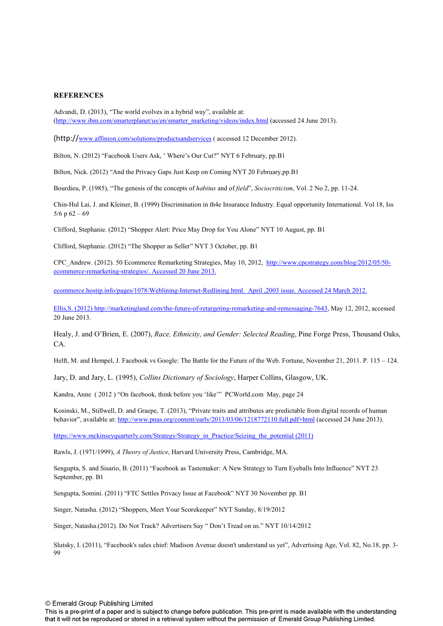#### **REFERENCES**

Advandi, D. (2013), "The world evolves in a hybrid way", available at: (http://www.ibm.com/smarterplanet/us/en/smarter\_marketing/videos/index.html (accessed 24 June 2013).

(http://www.affinion.com/solutions/productsandservices ( accessed 12 December 2012).

Bilton, N. (2012) "Facebook Users Ask, ' Where's Our Cut?" NYT 6 February, pp.B1

Bilton, Nick. (2012) "And the Privacy Gaps Just Keep on Coming NYT 20 February,pp.B1

Bourdieu, P. (1985), "The genesis of the concepts of *habitus* and of *field*", *Sociocriticism*, Vol. 2 No 2, pp. 11-24.

Chin-Hul Lai, J. and Kleiner, B. (1999) Discrimination in th4e Insurance Industry. Equal opportunity International. Vol 18, Iss 5/6 p  $62 - 69$ 

Clifford, Stephanie. (2012) "Shopper Alert: Price May Drop for You Alone" NYT 10 August, pp. B1

Clifford, Stephanie. (2012) "The Shopper as Seller" NYT 3 October, pp. B1

CPC\_Andrew. (2012). 50 Ecommerce Remarketing Strategies, May 10, 2012, http://www.cpcstrategy.com/blog/2012/05/50 ecommerce-remarketing-strategies/. Accessed 20 June 2013.

ecommerce.hostip.info/pages/1078/Weblining-Internet-Redlining.html. April ,2003 issue. Accessed 24 March 2012.

Ellis,S. (2012) http://marketingland.com/the-future-of-retargeting-remarketing-and-remessaging-7643, May 12, 2012, accessed 20 June 2013.

Healy, J. and O'Brien, E. (2007), *Race, Ethnicity, and Gender: Selected Reading*, Pine Forge Press, Thousand Oaks, CA.

Helft, M. and Hempel, J. Facebook vs Google: The Battle for the Future of the Web. Fortune, November 21, 2011. P. 115 – 124.

Jary, D. and Jary, L. (1995), *Collins Dictionary of Sociology*, Harper Collins, Glasgow, UK.

Kandra, Anne ( 2012 ) "On facebook, think before you 'like'" PCWorld.com May, page 24

Kosinski, M., Stillwell, D. and Graepe, T. (2013), "Private traits and attributes are predictable from digital records of human behavior", available at: http://www.pnas.org/content/early/2013/03/06/1218772110.full.pdf+html (accessed 24 June 2013).

https://www.mckinseyquarterly.com/Strategy/Strategy\_in\_Practice/Seizing\_the\_potential (2011)

Rawls, J. (1971/1999), *A Theory of Justice*, Harvard University Press, Cambridge, MA.

Sengupta, S. and Sisario, B. (2011) "Facebook as Tastemaker: A New Strategy to Turn Eyeballs Into Influence" NYT 23 September, pp. B1

Sengupta, Somini. (2011) "FTC Settles Privacy Issue at Facebook" NYT 30 November pp. B1

Singer, Natasha. (2012) "Shoppers, Meet Your Scorekeeper" NYT Sunday, 8/19/2012

Singer, Natasha.(2012). Do Not Track? Advertisers Say " Don't Tread on us." NYT 10/14/2012

Slutsky, I. (2011), "Facebook's sales chief: Madison Avenue doesn't understand us yet", Advertising Age, Vol. 82, No.18, pp. 3- 99

© Emerald Group Publishing Limited